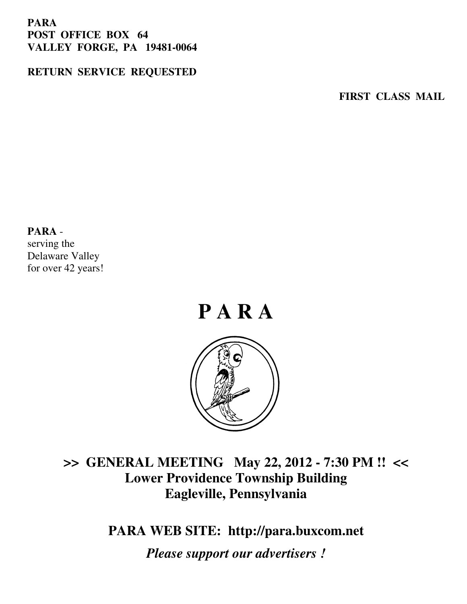#### **PARA POST OFFICE BOX 64 VALLEY FORGE, PA 19481-0064**

#### **RETURN SERVICE REQUESTED**

**FIRST CLASS MAIL** 

#### **PARA** -

serving the Delaware Valley for over 42 years!



## **>> GENERAL MEETING May 22, 2012 - 7:30 PM !! << Lower Providence Township Building Eagleville, Pennsylvania**

**PARA WEB SITE: http://para.buxcom.net**

*Please support our advertisers !*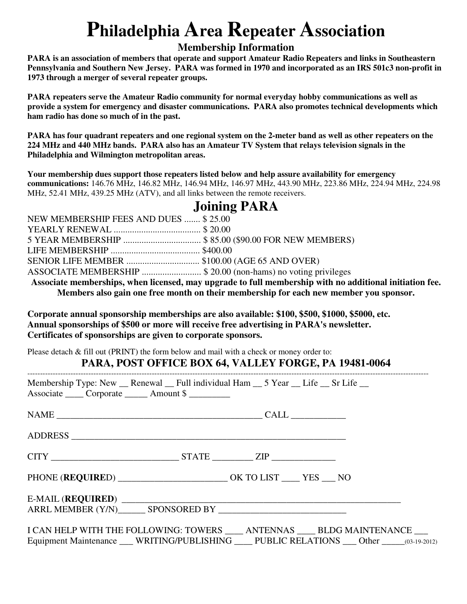# **Philadelphia Area Repeater Association**

#### **Membership Information**

**PARA is an association of members that operate and support Amateur Radio Repeaters and links in Southeastern Pennsylvania and Southern New Jersey. PARA was formed in 1970 and incorporated as an IRS 501c3 non-profit in 1973 through a merger of several repeater groups.** 

**PARA repeaters serve the Amateur Radio community for normal everyday hobby communications as well as provide a system for emergency and disaster communications. PARA also promotes technical developments which ham radio has done so much of in the past.** 

**PARA has four quadrant repeaters and one regional system on the 2-meter band as well as other repeaters on the 224 MHz and 440 MHz bands. PARA also has an Amateur TV System that relays television signals in the Philadelphia and Wilmington metropolitan areas.** 

**Your membership dues support those repeaters listed below and help assure availability for emergency communications:** 146.76 MHz, 146.82 MHz, 146.94 MHz, 146.97 MHz, 443.90 MHz, 223.86 MHz, 224.94 MHz, 224.98 MHz, 52.41 MHz, 439.25 MHz (ATV), and all links between the remote receivers.

#### **Joining PARA**

| NEW MEMBERSHIP FEES AND DUES  \$25.00                         |  |
|---------------------------------------------------------------|--|
|                                                               |  |
| 5 YEAR MEMBERSHIP  \$85.00 (\$90.00 FOR NEW MEMBERS)          |  |
|                                                               |  |
| SENIOR LIFE MEMBER \$100.00 (AGE 65 AND OVER)                 |  |
| ASSOCIATE MEMBERSHIP \$ 20.00 (non-hams) no voting privileges |  |
|                                                               |  |

**Associate memberships, when licensed, may upgrade to full membership with no additional initiation fee. Members also gain one free month on their membership for each new member you sponsor.** 

**Corporate annual sponsorship memberships are also available: \$100, \$500, \$1000, \$5000, etc. Annual sponsorships of \$500 or more will receive free advertising in PARA's newsletter. Certificates of sponsorships are given to corporate sponsors.** 

Please detach & fill out (PRINT) the form below and mail with a check or money order to:

#### **PARA, POST OFFICE BOX 64, VALLEY FORGE, PA 19481-0064**

| Membership Type: New __ Renewal __ Full individual Ham __ 5 Year __ Life __ Sr Life __<br>Associate ______ Corporate _______ Amount \$ |  |                                                                                                                                                                                |
|----------------------------------------------------------------------------------------------------------------------------------------|--|--------------------------------------------------------------------------------------------------------------------------------------------------------------------------------|
|                                                                                                                                        |  |                                                                                                                                                                                |
|                                                                                                                                        |  |                                                                                                                                                                                |
|                                                                                                                                        |  |                                                                                                                                                                                |
| PHONE (REQUIRED) __________________________ OK TO LIST _____ YES ___ NO                                                                |  |                                                                                                                                                                                |
|                                                                                                                                        |  |                                                                                                                                                                                |
|                                                                                                                                        |  | I CAN HELP WITH THE FOLLOWING: TOWERS ____ ANTENNAS ____ BLDG MAINTENANCE ___<br>Equipment Maintenance ___ WRITING/PUBLISHING ____ PUBLIC RELATIONS ___ Other ______03-19-2012 |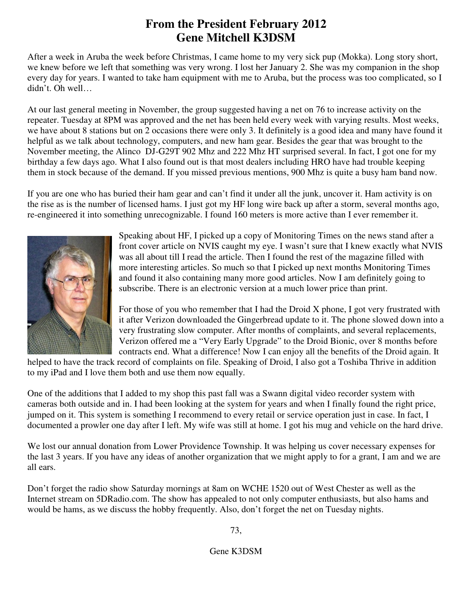#### **From the President February 2012 Gene Mitchell K3DSM**

After a week in Aruba the week before Christmas, I came home to my very sick pup (Mokka). Long story short, we knew before we left that something was very wrong. I lost her January 2. She was my companion in the shop every day for years. I wanted to take ham equipment with me to Aruba, but the process was too complicated, so I didn't. Oh well…

At our last general meeting in November, the group suggested having a net on 76 to increase activity on the repeater. Tuesday at 8PM was approved and the net has been held every week with varying results. Most weeks, we have about 8 stations but on 2 occasions there were only 3. It definitely is a good idea and many have found it helpful as we talk about technology, computers, and new ham gear. Besides the gear that was brought to the November meeting, the Alinco DJ-G29T 902 Mhz and 222 Mhz HT surprised several. In fact, I got one for my birthday a few days ago. What I also found out is that most dealers including HRO have had trouble keeping them in stock because of the demand. If you missed previous mentions, 900 Mhz is quite a busy ham band now.

If you are one who has buried their ham gear and can't find it under all the junk, uncover it. Ham activity is on the rise as is the number of licensed hams. I just got my HF long wire back up after a storm, several months ago, re-engineered it into something unrecognizable. I found 160 meters is more active than I ever remember it.



Speaking about HF, I picked up a copy of Monitoring Times on the news stand after a front cover article on NVIS caught my eye. I wasn't sure that I knew exactly what NVIS was all about till I read the article. Then I found the rest of the magazine filled with more interesting articles. So much so that I picked up next months Monitoring Times and found it also containing many more good articles. Now I am definitely going to subscribe. There is an electronic version at a much lower price than print.

For those of you who remember that I had the Droid X phone, I got very frustrated with it after Verizon downloaded the Gingerbread update to it. The phone slowed down into a very frustrating slow computer. After months of complaints, and several replacements, Verizon offered me a "Very Early Upgrade" to the Droid Bionic, over 8 months before contracts end. What a difference! Now I can enjoy all the benefits of the Droid again. It

helped to have the track record of complaints on file. Speaking of Droid, I also got a Toshiba Thrive in addition to my iPad and I love them both and use them now equally.

One of the additions that I added to my shop this past fall was a Swann digital video recorder system with cameras both outside and in. I had been looking at the system for years and when I finally found the right price, jumped on it. This system is something I recommend to every retail or service operation just in case. In fact, I documented a prowler one day after I left. My wife was still at home. I got his mug and vehicle on the hard drive.

We lost our annual donation from Lower Providence Township. It was helping us cover necessary expenses for the last 3 years. If you have any ideas of another organization that we might apply to for a grant, I am and we are all ears.

Don't forget the radio show Saturday mornings at 8am on WCHE 1520 out of West Chester as well as the Internet stream on 5DRadio.com. The show has appealed to not only computer enthusiasts, but also hams and would be hams, as we discuss the hobby frequently. Also, don't forget the net on Tuesday nights.

73,

Gene K3DSM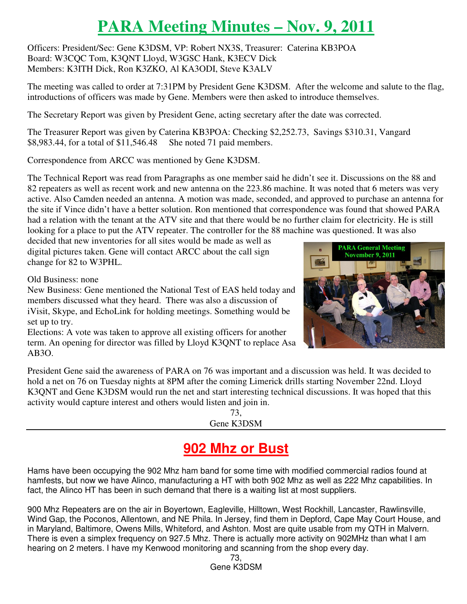# **PARA Meeting Minutes – Nov. 9, 2011**

Officers: President/Sec: Gene K3DSM, VP: Robert NX3S, Treasurer: Caterina KB3POA Board: W3CQC Tom, K3QNT Lloyd, W3GSC Hank, K3ECV Dick Members: K3ITH Dick, Ron K3ZKO, Al KA3ODI, Steve K3ALV

The meeting was called to order at 7:31PM by President Gene K3DSM. After the welcome and salute to the flag, introductions of officers was made by Gene. Members were then asked to introduce themselves.

The Secretary Report was given by President Gene, acting secretary after the date was corrected.

The Treasurer Report was given by Caterina KB3POA: Checking \$2,252.73, Savings \$310.31, Vangard \$8,983.44, for a total of \$11,546.48 She noted 71 paid members.

Correspondence from ARCC was mentioned by Gene K3DSM.

The Technical Report was read from Paragraphs as one member said he didn't see it. Discussions on the 88 and 82 repeaters as well as recent work and new antenna on the 223.86 machine. It was noted that 6 meters was very active. Also Camden needed an antenna. A motion was made, seconded, and approved to purchase an antenna for the site if Vince didn't have a better solution. Ron mentioned that correspondence was found that showed PARA had a relation with the tenant at the ATV site and that there would be no further claim for electricity. He is still looking for a place to put the ATV repeater. The controller for the 88 machine was questioned. It was also

decided that new inventories for all sites would be made as well as digital pictures taken. Gene will contact ARCC about the call sign change for 82 to W3PHL.

Old Business: none

New Business: Gene mentioned the National Test of EAS held today and members discussed what they heard. There was also a discussion of iVisit, Skype, and EchoLink for holding meetings. Something would be set up to try.

Elections: A vote was taken to approve all existing officers for another term. An opening for director was filled by Lloyd K3QNT to replace Asa AB3O.



73, Gene K3DSM

## **902 Mhz or Bust**

Hams have been occupying the 902 Mhz ham band for some time with modified commercial radios found at hamfests, but now we have Alinco, manufacturing a HT with both 902 Mhz as well as 222 Mhz capabilities. In fact, the Alinco HT has been in such demand that there is a waiting list at most suppliers.

900 Mhz Repeaters are on the air in Boyertown, Eagleville, Hilltown, West Rockhill, Lancaster, Rawlinsville, Wind Gap, the Poconos, Allentown, and NE Phila. In Jersey, find them in Depford, Cape May Court House, and in Maryland, Baltimore, Owens Mills, Whiteford, and Ashton. Most are quite usable from my QTH in Malvern. There is even a simplex frequency on 927.5 Mhz. There is actually more activity on 902MHz than what I am hearing on 2 meters. I have my Kenwood monitoring and scanning from the shop every day.



73, Gene K3DSM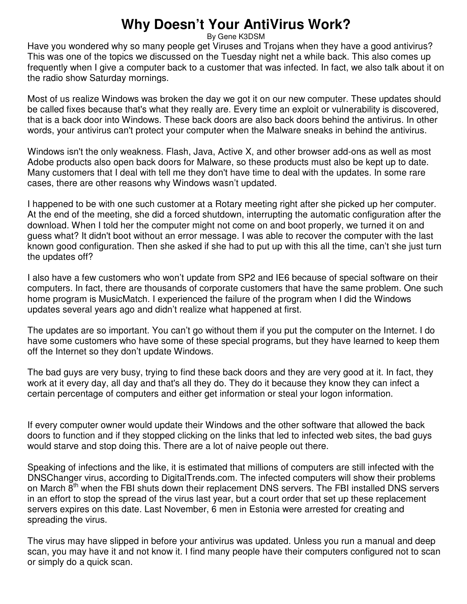## **Why Doesn't Your AntiVirus Work?**

By Gene K3DSM

Have you wondered why so many people get Viruses and Trojans when they have a good antivirus? This was one of the topics we discussed on the Tuesday night net a while back. This also comes up frequently when I give a computer back to a customer that was infected. In fact, we also talk about it on the radio show Saturday mornings.

Most of us realize Windows was broken the day we got it on our new computer. These updates should be called fixes because that's what they really are. Every time an exploit or vulnerability is discovered, that is a back door into Windows. These back doors are also back doors behind the antivirus. In other words, your antivirus can't protect your computer when the Malware sneaks in behind the antivirus.

Windows isn't the only weakness. Flash, Java, Active X, and other browser add-ons as well as most Adobe products also open back doors for Malware, so these products must also be kept up to date. Many customers that I deal with tell me they don't have time to deal with the updates. In some rare cases, there are other reasons why Windows wasn't updated.

I happened to be with one such customer at a Rotary meeting right after she picked up her computer. At the end of the meeting, she did a forced shutdown, interrupting the automatic configuration after the download. When I told her the computer might not come on and boot properly, we turned it on and guess what? It didn't boot without an error message. I was able to recover the computer with the last known good configuration. Then she asked if she had to put up with this all the time, can't she just turn the updates off?

I also have a few customers who won't update from SP2 and IE6 because of special software on their computers. In fact, there are thousands of corporate customers that have the same problem. One such home program is MusicMatch. I experienced the failure of the program when I did the Windows updates several years ago and didn't realize what happened at first.

The updates are so important. You can't go without them if you put the computer on the Internet. I do have some customers who have some of these special programs, but they have learned to keep them off the Internet so they don't update Windows.

The bad guys are very busy, trying to find these back doors and they are very good at it. In fact, they work at it every day, all day and that's all they do. They do it because they know they can infect a certain percentage of computers and either get information or steal your logon information.

If every computer owner would update their Windows and the other software that allowed the back doors to function and if they stopped clicking on the links that led to infected web sites, the bad guys would starve and stop doing this. There are a lot of naive people out there.

Speaking of infections and the like, it is estimated that millions of computers are still infected with the DNSChanger virus, according to DigitalTrends.com. The infected computers will show their problems on March  $8<sup>th</sup>$  when the FBI shuts down their replacement DNS servers. The FBI installed DNS servers in an effort to stop the spread of the virus last year, but a court order that set up these replacement servers expires on this date. Last November, 6 men in Estonia were arrested for creating and spreading the virus.

The virus may have slipped in before your antivirus was updated. Unless you run a manual and deep scan, you may have it and not know it. I find many people have their computers configured not to scan or simply do a quick scan.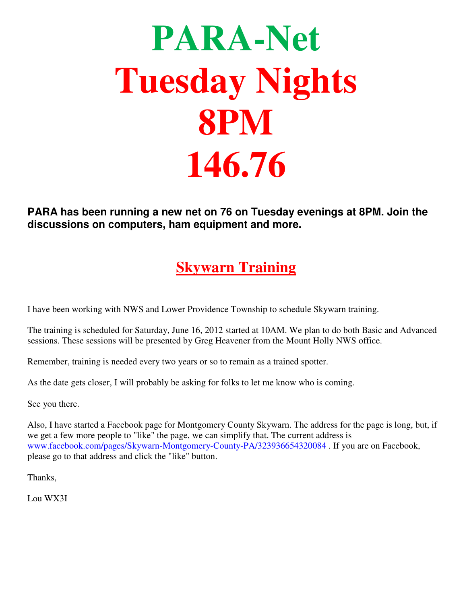# **PARA-Net Tuesday Nights 8PM 146.76**

**PARA has been running a new net on 76 on Tuesday evenings at 8PM. Join the discussions on computers, ham equipment and more.**

## **Skywarn Training**

I have been working with NWS and Lower Providence Township to schedule Skywarn training.

The training is scheduled for Saturday, June 16, 2012 started at 10AM. We plan to do both Basic and Advanced sessions. These sessions will be presented by Greg Heavener from the Mount Holly NWS office.

Remember, training is needed every two years or so to remain as a trained spotter.

As the date gets closer, I will probably be asking for folks to let me know who is coming.

See you there.

Also, I have started a Facebook page for Montgomery County Skywarn. The address for the page is long, but, if we get a few more people to "like" the page, we can simplify that. The current address is www.facebook.com/pages/Skywarn-Montgomery-County-PA/323936654320084 . If you are on Facebook, please go to that address and click the "like" button.

Thanks,

Lou WX3I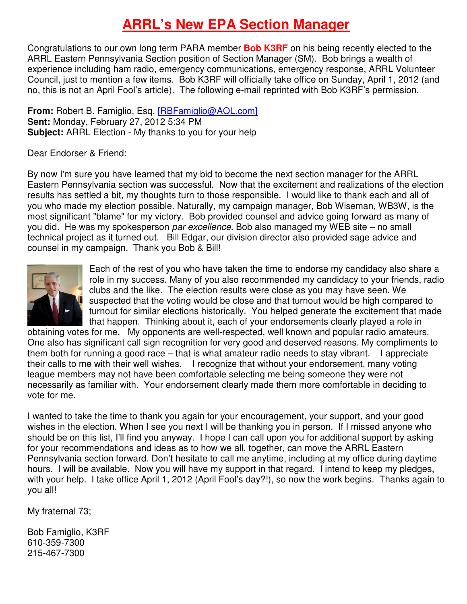## **ARRL's New EPA Section Manager**

Congratulations to our own long term PARA member **Bob K3RF** on his being recently elected to the ARRL Eastern Pennsylvania Section position of Section Manager (SM). Bob brings a wealth of experience including ham radio, emergency communications, emergency response, ARRL Volunteer Council, just to mention a few items. Bob K3RF will officially take office on Sunday, April 1, 2012 (and no, this is not an April Fool's article). The following e-mail reprinted with Bob K3RF's permission.

**From:** Robert B. Famiglio, Esq. [RBFamiglio@AOL.com] **Sent:** Monday, February 27, 2012 5:34 PM **Subject:** ARRL Election - My thanks to you for your help

Dear Endorser & Friend:

By now I'm sure you have learned that my bid to become the next section manager for the ARRL Eastern Pennsylvania section was successful. Now that the excitement and realizations of the election results has settled a bit, my thoughts turn to those responsible. I would like to thank each and all of you who made my election possible. Naturally, my campaign manager, Bob Wiseman, WB3W, is the most significant "blame" for my victory. Bob provided counsel and advice going forward as many of you did. He was my spokesperson par excellence. Bob also managed my WEB site – no small technical project as it turned out. Bill Edgar, our division director also provided sage advice and counsel in my campaign. Thank you Bob & Bill!



Each of the rest of you who have taken the time to endorse my candidacy also share a role in my success. Many of you also recommended my candidacy to your friends, radio clubs and the like. The election results were close as you may have seen. We **I** suspected that the voting would be close and that turnout would be high compared to turnout for similar elections historically. You helped generate the excitement that made that happen. Thinking about it, each of your endorsements clearly played a role in

obtaining votes for me. My opponents are well-respected, well known and popular radio amateurs. One also has significant call sign recognition for very good and deserved reasons. My compliments to them both for running a good race – that is what amateur radio needs to stay vibrant. I appreciate their calls to me with their well wishes. I recognize that without your endorsement, many voting league members may not have been comfortable selecting me being someone they were not necessarily as familiar with. Your endorsement clearly made them more comfortable in deciding to vote for me.

I wanted to take the time to thank you again for your encouragement, your support, and your good wishes in the election. When I see you next I will be thanking you in person. If I missed anyone who should be on this list, I'll find you anyway. I hope I can call upon you for additional support by asking for your recommendations and ideas as to how we all, together, can move the ARRL Eastern Pennsylvania section forward. Don't hesitate to call me anytime, including at my office during daytime hours. I will be available. Now you will have my support in that regard. I intend to keep my pledges, with your help. I take office April 1, 2012 (April Fool's day?!), so now the work begins. Thanks again to you all!

My fraternal 73;

Bob Famiglio, K3RF 610-359-7300 215-467-7300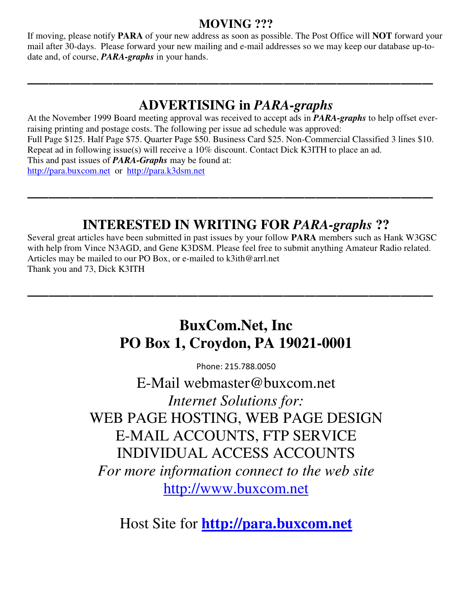#### **MOVING ???**

If moving, please notify **PARA** of your new address as soon as possible. The Post Office will **NOT** forward your mail after 30-days. Please forward your new mailing and e-mail addresses so we may keep our database up-todate and, of course, *PARA-graphs* in your hands.

**\_\_\_\_\_\_\_\_\_\_\_\_\_\_\_\_\_\_\_\_\_\_\_\_\_\_\_\_\_\_\_\_\_\_\_\_\_\_**

## **ADVERTISING in** *PARA-graphs*

At the November 1999 Board meeting approval was received to accept ads in *PARA-graphs* to help offset everraising printing and postage costs. The following per issue ad schedule was approved: Full Page \$125. Half Page \$75. Quarter Page \$50. Business Card \$25. Non-Commercial Classified 3 lines \$10. Repeat ad in following issue(s) will receive a 10% discount. Contact Dick K3ITH to place an ad. This and past issues of *PARA-Graphs* may be found at: http://para.buxcom.net or http://para.k3dsm.net

**\_\_\_\_\_\_\_\_\_\_\_\_\_\_\_\_\_\_\_\_\_\_\_\_\_\_\_\_\_\_\_\_\_\_\_\_\_\_**

## **INTERESTED IN WRITING FOR** *PARA-graphs* **??**

Several great articles have been submitted in past issues by your follow **PARA** members such as Hank W3GSC with help from Vince N3AGD, and Gene K3DSM. Please feel free to submit anything Amateur Radio related. Articles may be mailed to our PO Box, or e-mailed to k3ith@arrl.net Thank you and 73, Dick K3ITH

**\_\_\_\_\_\_\_\_\_\_\_\_\_\_\_\_\_\_\_\_\_\_\_\_\_\_\_\_\_\_\_\_\_\_\_\_\_\_** 

## **BuxCom.Net, Inc PO Box 1, Croydon, PA 19021-0001**

Phone: 215.788.0050

E-Mail webmaster@buxcom.net *Internet Solutions for:* WEB PAGE HOSTING, WEB PAGE DESIGN E-MAIL ACCOUNTS, FTP SERVICE INDIVIDUAL ACCESS ACCOUNTS *For more information connect to the web site*  http://www.buxcom.net

Host Site for **http://para.buxcom.net**